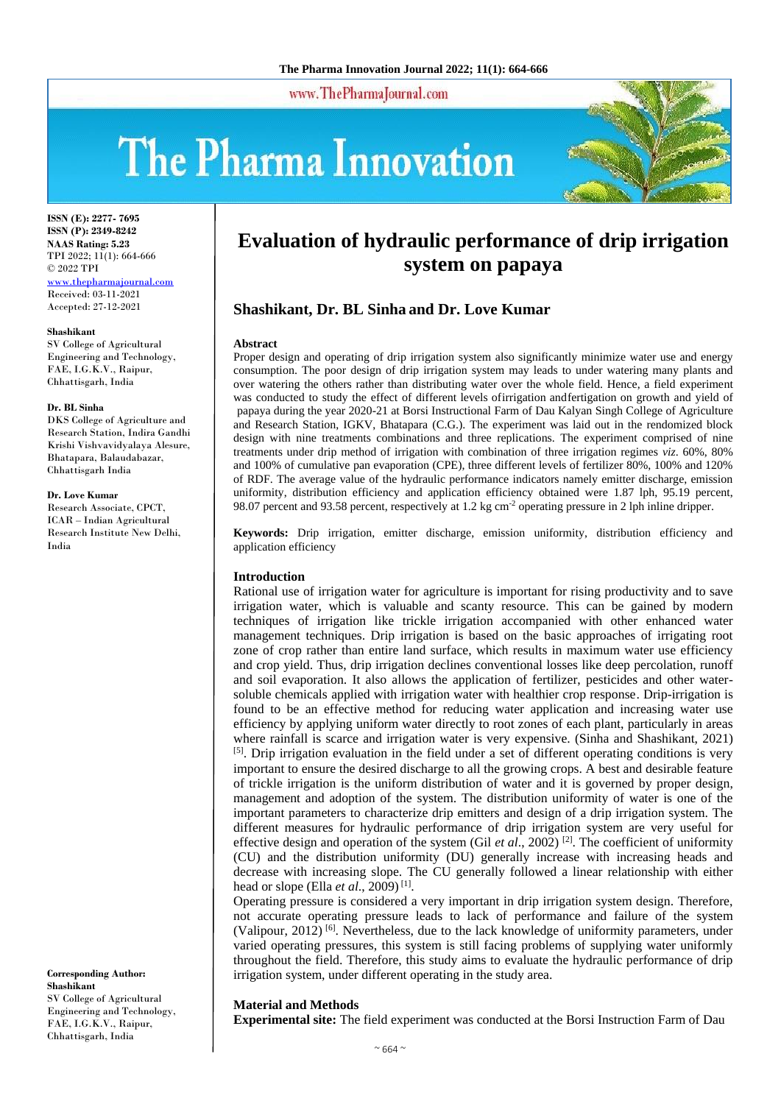www.ThePharmaJournal.com

# The Pharma Innovation



**ISSN (E): 2277- 7695 ISSN (P): 2349-8242 NAAS Rating: 5.23** TPI 2022; 11(1): 664-666 © 2022 TPI [www.thepharmajournal.com](http://www.thepharmajournal.com/) Received: 03-11-2021 Accepted: 27-12-2021

#### **Shashikant**

SV College of Agricultural Engineering and Technology, FAE, I.G.K.V., Raipur, Chhattisgarh, India

#### **Dr. BL Sinha**

DKS College of Agriculture and Research Station, Indira Gandhi Krishi Vishvavidyalaya Alesure, Bhatapara, Balaudabazar, Chhattisgarh India

#### **Dr. Love Kumar**

Research Associate, CPCT, ICAR – Indian Agricultural Research Institute New Delhi, India

**Corresponding Author: Shashikant** SV College of Agricultural Engineering and Technology, FAE, I.G.K.V., Raipur, Chhattisgarh, India

# **Evaluation of hydraulic performance of drip irrigation system on papaya**

# **Shashikant, Dr. BL Sinha and Dr. Love Kumar**

#### **Abstract**

Proper design and operating of drip irrigation system also significantly minimize water use and energy consumption. The poor design of drip irrigation system may leads to under watering many plants and over watering the others rather than distributing water over the whole field. Hence, a field experiment was conducted to study the effect of different levels ofirrigation andfertigation on growth and yield of papaya during the year 2020-21 at Borsi Instructional Farm of Dau Kalyan Singh College of Agriculture and Research Station, IGKV, Bhatapara (C.G.). The experiment was laid out in the rendomized block design with nine treatments combinations and three replications. The experiment comprised of nine treatments under drip method of irrigation with combination of three irrigation regimes *viz*. 60%, 80% and 100% of cumulative pan evaporation (CPE), three different levels of fertilizer 80%, 100% and 120% of RDF. The average value of the hydraulic performance indicators namely emitter discharge, emission uniformity, distribution efficiency and application efficiency obtained were 1.87 lph, 95.19 percent, 98.07 percent and 93.58 percent, respectively at 1.2 kg cm-2 operating pressure in 2 lph inline dripper.

**Keywords:** Drip irrigation, emitter discharge, emission uniformity, distribution efficiency and application efficiency

#### **Introduction**

Rational use of irrigation water for agriculture is important for rising productivity and to save irrigation water, which is valuable and scanty resource. This can be gained by modern techniques of irrigation like trickle irrigation accompanied with other enhanced water management techniques. Drip irrigation is based on the basic approaches of irrigating root zone of crop rather than entire land surface, which results in maximum water use efficiency and crop yield. Thus, drip irrigation declines conventional losses like deep percolation, runoff and soil evaporation. It also allows the application of fertilizer, pesticides and other watersoluble chemicals applied with irrigation water with healthier crop response. Drip-irrigation is found to be an effective method for reducing water application and increasing water use efficiency by applying uniform water directly to root zones of each plant, particularly in areas where rainfall is scarce and irrigation water is very expensive. (Sinha and Shashikant, 2021) <sup>[5]</sup>. Drip irrigation evaluation in the field under a set of different operating conditions is very important to ensure the desired discharge to all the growing crops. A best and desirable feature of trickle irrigation is the uniform distribution of water and it is governed by proper design, management and adoption of the system. The distribution uniformity of water is one of the important parameters to characterize drip emitters and design of a drip irrigation system. The different measures for hydraulic performance of drip irrigation system are very useful for effective design and operation of the system (Gil *et al.*, 2002)<sup>[2]</sup>. The coefficient of uniformity (CU) and the distribution uniformity (DU) generally increase with increasing heads and decrease with increasing slope. The CU generally followed a linear relationship with either head or slope (Ella *et al.*, 2009)<sup>[1]</sup>.

Operating pressure is considered a very important in drip irrigation system design. Therefore, not accurate operating pressure leads to lack of performance and failure of the system (Valipour, 2012)<sup>[6]</sup>. Nevertheless, due to the lack knowledge of uniformity parameters, under varied operating pressures, this system is still facing problems of supplying water uniformly throughout the field. Therefore, this study aims to evaluate the hydraulic performance of drip irrigation system, under different operating in the study area.

#### **Material and Methods**

**Experimental site:** The field experiment was conducted at the Borsi Instruction Farm of Dau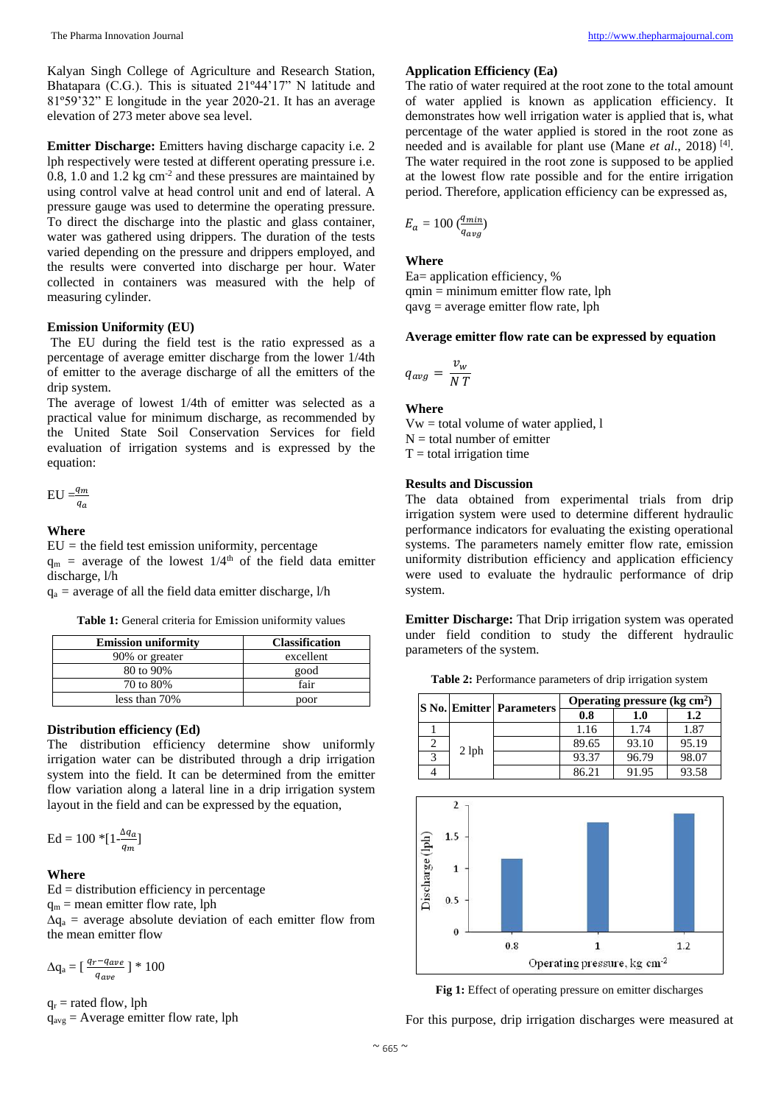Kalyan Singh College of Agriculture and Research Station, Bhatapara (C.G.). This is situated 21º44'17" N latitude and 81º59'32" E longitude in the year 2020-21. It has an average elevation of 273 meter above sea level.

**Emitter Discharge:** Emitters having discharge capacity i.e. 2 lph respectively were tested at different operating pressure i.e.  $0.8$ , 1.0 and 1.2 kg cm<sup>-2</sup> and these pressures are maintained by using control valve at head control unit and end of lateral. A pressure gauge was used to determine the operating pressure. To direct the discharge into the plastic and glass container, water was gathered using drippers. The duration of the tests varied depending on the pressure and drippers employed, and the results were converted into discharge per hour. Water collected in containers was measured with the help of measuring cylinder.

# **Emission Uniformity (EU)**

The EU during the field test is the ratio expressed as a percentage of average emitter discharge from the lower 1/4th of emitter to the average discharge of all the emitters of the drip system.

The average of lowest 1/4th of emitter was selected as a practical value for minimum discharge, as recommended by the United State Soil Conservation Services for field evaluation of irrigation systems and is expressed by the equation:

$$
\text{EU=}\frac{q_m}{q_a}
$$

# **Where**

 $EU =$  the field test emission uniformity, percentage

 $q_m$  = average of the lowest  $1/4<sup>th</sup>$  of the field data emitter discharge, l/h

 $q_a$  = average of all the field data emitter discharge,  $1/h$ 

**Table 1:** General criteria for Emission uniformity values

| <b>Emission uniformity</b> | <b>Classification</b> |  |
|----------------------------|-----------------------|--|
| 90% or greater             | excellent             |  |
| 80 to 90%                  | good                  |  |
| 70 to 80%                  | fair                  |  |
| less than 70%              | poor                  |  |

### **Distribution efficiency (Ed)**

The distribution efficiency determine show uniformly irrigation water can be distributed through a drip irrigation system into the field. It can be determined from the emitter flow variation along a lateral line in a drip irrigation system layout in the field and can be expressed by the equation,

$$
\mathrm{Ed} = 100 \cdot \left[ 1 \cdot \frac{\Delta q_a}{q_m} \right]
$$

#### **Where**

 $Ed = distribution$  efficiency in percentage  $q_m$  = mean emitter flow rate, lph  $\Delta q_a$  = average absolute deviation of each emitter flow from the mean emitter flow

$$
\Delta q_a = \left[\frac{q_r - q_{ave}}{q_{ave}}\right] * 100
$$

 $q_r$  = rated flow, lph

 $q_{avg}$  = Average emitter flow rate, lph

# **Application Efficiency (Ea)**

The ratio of water required at the root zone to the total amount of water applied is known as application efficiency. It demonstrates how well irrigation water is applied that is, what percentage of the water applied is stored in the root zone as needed and is available for plant use (Mane *et al.*, 2018)<sup>[4]</sup>. The water required in the root zone is supposed to be applied at the lowest flow rate possible and for the entire irrigation period. Therefore, application efficiency can be expressed as,

$$
E_a=100\ (\frac{q_{min}}{q_{avg}})
$$

**Where**

Ea= application efficiency, % qmin = minimum emitter flow rate, lph qavg = average emitter flow rate, lph

# **Average emitter flow rate can be expressed by equation**

$$
q_{avg} = \frac{v_w}{N T}
$$

#### **Where**

 $Vw =$  total volume of water applied, l  $N =$  total number of emitter  $T =$  total irrigation time

# **Results and Discussion**

The data obtained from experimental trials from drip irrigation system were used to determine different hydraulic performance indicators for evaluating the existing operational systems. The parameters namely emitter flow rate, emission uniformity distribution efficiency and application efficiency were used to evaluate the hydraulic performance of drip system.

**Emitter Discharge:** That Drip irrigation system was operated under field condition to study the different hydraulic parameters of the system.

**Table 2:** Performance parameters of drip irrigation system

|  |         | <b>S No. Emitter Parameters</b> | Operating pressure $(kg cm2)$ |       |       |
|--|---------|---------------------------------|-------------------------------|-------|-------|
|  |         |                                 | 0.8                           | 1.0   | 1.2   |
|  | $2$ lph |                                 | 1.16                          | 1.74  | 1.87  |
|  |         |                                 | 89.65                         | 93.10 | 95.19 |
|  |         |                                 | 93.37                         | 96.79 | 98.07 |
|  |         |                                 | 86.21                         | 91.95 | 93.58 |



**Fig 1:** Effect of operating pressure on emitter discharges

For this purpose, drip irrigation discharges were measured at